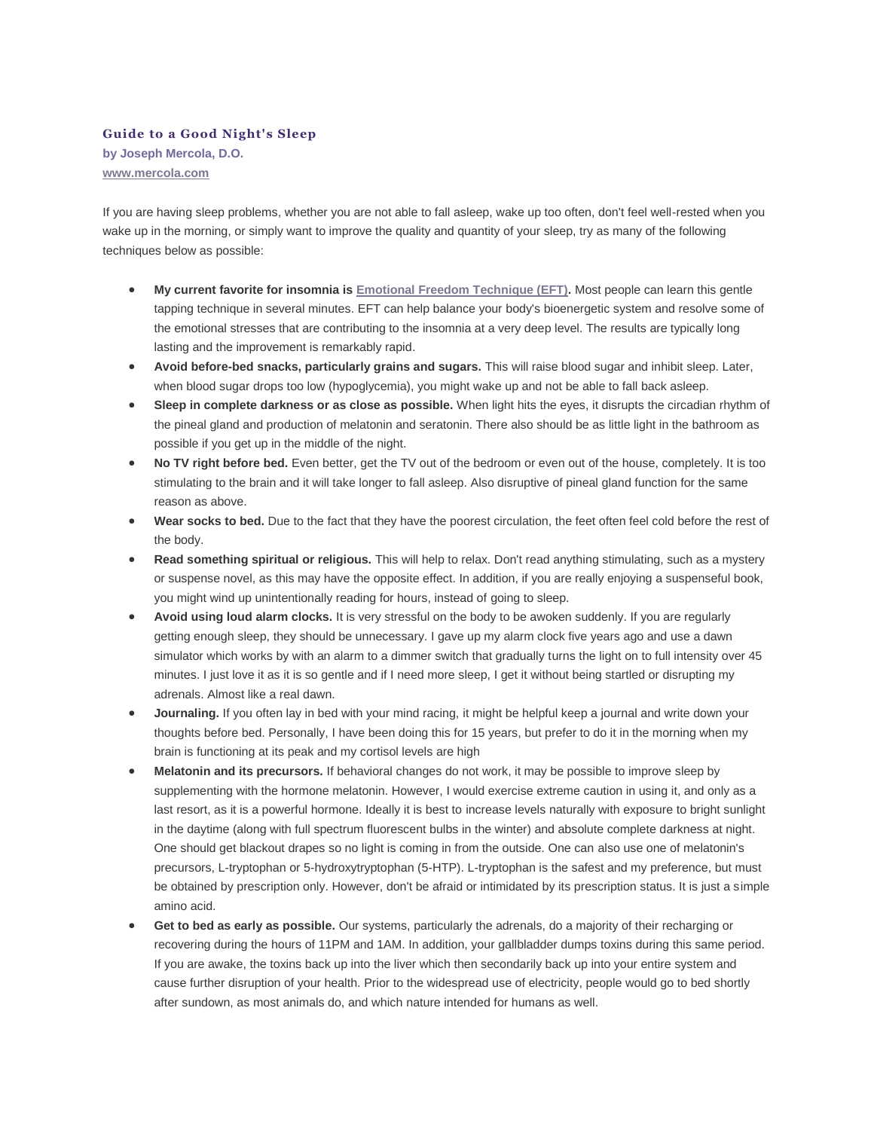## **Guide to a Good Night's Sleep**

**by Joseph Mercola, D.O. [www.mercola.com](https://web.archive.org/web/20150512095715/http:/www.mercola.com/)**

If you are having sleep problems, whether you are not able to fall asleep, wake up too often, don't feel well-rested when you wake up in the morning, or simply want to improve the quality and quantity of your sleep, try as many of the following techniques below as possible:

- **My current favorite for insomnia is [Emotional Freedom Technique \(EFT\).](https://web.archive.org/web/20150512095715/http:/www.mercola.com/article/eft_videos.htm)** Most people can learn this gentle tapping technique in several minutes. EFT can help balance your body's bioenergetic system and resolve some of the emotional stresses that are contributing to the insomnia at a very deep level. The results are typically long lasting and the improvement is remarkably rapid.
- **Avoid before-bed snacks, particularly grains and sugars.** This will raise blood sugar and inhibit sleep. Later, when blood sugar drops too low (hypoglycemia), you might wake up and not be able to fall back asleep.
- **Sleep in complete darkness or as close as possible.** When light hits the eyes, it disrupts the circadian rhythm of the pineal gland and production of melatonin and seratonin. There also should be as little light in the bathroom as possible if you get up in the middle of the night.
- **No TV right before bed.** Even better, get the TV out of the bedroom or even out of the house, completely. It is too stimulating to the brain and it will take longer to fall asleep. Also disruptive of pineal gland function for the same reason as above.
- **Wear socks to bed.** Due to the fact that they have the poorest circulation, the feet often feel cold before the rest of the body.
- **Read something spiritual or religious.** This will help to relax. Don't read anything stimulating, such as a mystery or suspense novel, as this may have the opposite effect. In addition, if you are really enjoying a suspenseful book, you might wind up unintentionally reading for hours, instead of going to sleep.
- **Avoid using loud alarm clocks.** It is very stressful on the body to be awoken suddenly. If you are regularly getting enough sleep, they should be unnecessary. I gave up my alarm clock five years ago and use a dawn simulator which works by with an alarm to a dimmer switch that gradually turns the light on to full intensity over 45 minutes. I just love it as it is so gentle and if I need more sleep, I get it without being startled or disrupting my adrenals. Almost like a real dawn.
- **Journaling.** If you often lay in bed with your mind racing, it might be helpful keep a journal and write down your thoughts before bed. Personally, I have been doing this for 15 years, but prefer to do it in the morning when my brain is functioning at its peak and my cortisol levels are high
- **Melatonin and its precursors.** If behavioral changes do not work, it may be possible to improve sleep by supplementing with the hormone melatonin. However, I would exercise extreme caution in using it, and only as a last resort, as it is a powerful hormone. Ideally it is best to increase levels naturally with exposure to bright sunlight in the daytime (along with full spectrum fluorescent bulbs in the winter) and absolute complete darkness at night. One should get blackout drapes so no light is coming in from the outside. One can also use one of melatonin's precursors, L-tryptophan or 5-hydroxytryptophan (5-HTP). L-tryptophan is the safest and my preference, but must be obtained by prescription only. However, don't be afraid or intimidated by its prescription status. It is just a simple amino acid.
- **Get to bed as early as possible.** Our systems, particularly the adrenals, do a majority of their recharging or recovering during the hours of 11PM and 1AM. In addition, your gallbladder dumps toxins during this same period. If you are awake, the toxins back up into the liver which then secondarily back up into your entire system and cause further disruption of your health. Prior to the widespread use of electricity, people would go to bed shortly after sundown, as most animals do, and which nature intended for humans as well.